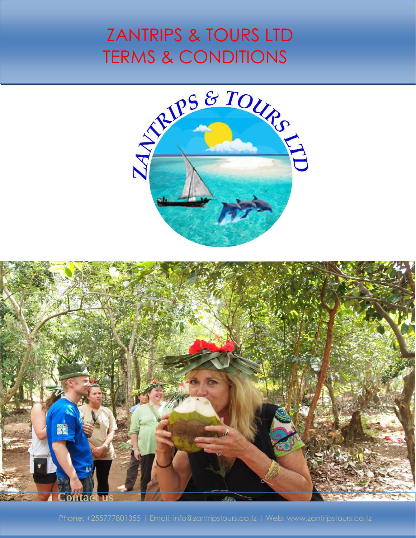## ZANTRIPS & TOURS LTD TERMS & CONDITIONS



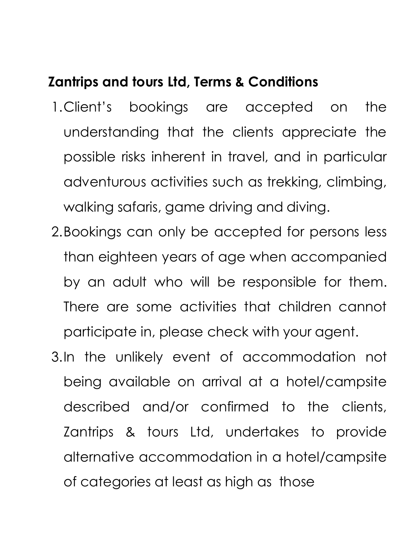## **Zantrips and tours Ltd, Terms & Conditions**

- 1.Client's bookings are accepted on the understanding that the clients appreciate the possible risks inherent in travel, and in particular adventurous activities such as trekking, climbing, walking safaris, game driving and diving.
- 2.Bookings can only be accepted for persons less than eighteen years of age when accompanied by an adult who will be responsible for them. There are some activities that children cannot participate in, please check with your agent.
- 3.In the unlikely event of accommodation not being available on arrival at a hotel/campsite described and/or confirmed to the clients, Zantrips & tours Ltd, undertakes to provide alternative accommodation in a hotel/campsite of categories at least as high as those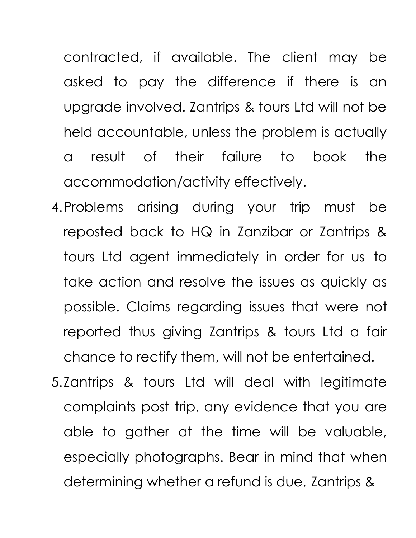contracted, if available. The client may be asked to pay the difference if there is an upgrade involved. Zantrips & tours Ltd will not be held accountable, unless the problem is actually a result of their failure to book the accommodation/activity effectively.

- 4.Problems arising during your trip must be reposted back to HQ in Zanzibar or Zantrips & tours Ltd agent immediately in order for us to take action and resolve the issues as quickly as possible. Claims regarding issues that were not reported thus giving Zantrips & tours Ltd a fair chance to rectify them, will not be entertained.
- 5.Zantrips & tours Ltd will deal with legitimate complaints post trip, any evidence that you are able to gather at the time will be valuable, especially photographs. Bear in mind that when determining whether a refund is due, Zantrips &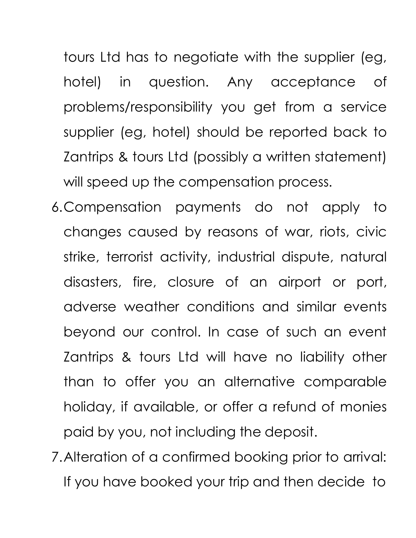tours Ltd has to negotiate with the supplier (eg, hotel) in question. Any acceptance of problems/responsibility you get from a service supplier (eg, hotel) should be reported back to Zantrips & tours Ltd (possibly a written statement) will speed up the compensation process.

- 6.Compensation payments do not apply to changes caused by reasons of war, riots, civic strike, terrorist activity, industrial dispute, natural disasters, fire, closure of an airport or port, adverse weather conditions and similar events beyond our control. In case of such an event Zantrips & tours Ltd will have no liability other than to offer you an alternative comparable holiday, if available, or offer a refund of monies paid by you, not including the deposit.
- 7.Alteration of a confirmed booking prior to arrival: If you have booked your trip and then decide to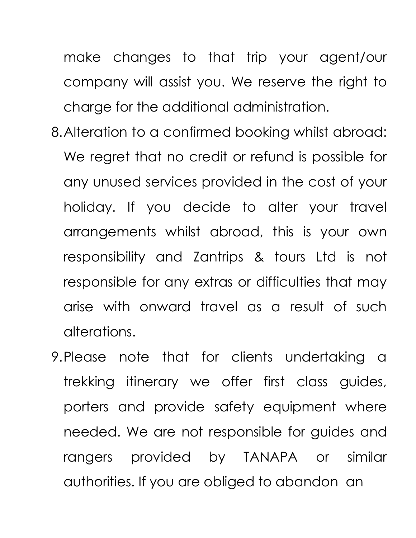make changes to that trip your agent/our company will assist you. We reserve the right to charge for the additional administration.

- 8.Alteration to a confirmed booking whilst abroad: We regret that no credit or refund is possible for any unused services provided in the cost of your holiday. If you decide to alter your travel arrangements whilst abroad, this is your own responsibility and Zantrips & tours Ltd is not responsible for any extras or difficulties that may arise with onward travel as a result of such alterations.
- 9.Please note that for clients undertaking a trekking itinerary we offer first class guides, porters and provide safety equipment where needed. We are not responsible for guides and rangers provided by TANAPA or similar authorities. If you are obliged to abandon an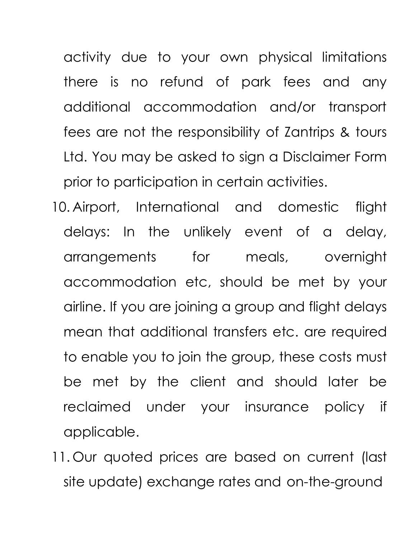activity due to your own physical limitations there is no refund of park fees and any additional accommodation and/or transport fees are not the responsibility of Zantrips & tours Ltd. You may be asked to sign a Disclaimer Form prior to participation in certain activities.

- 10. Airport, International and domestic flight delays: In the unlikely event of a delay, arrangements for meals, overnight accommodation etc, should be met by your airline. If you are joining a group and flight delays mean that additional transfers etc. are required to enable you to join the group, these costs must be met by the client and should later be reclaimed under your insurance policy if applicable.
- 11. Our quoted prices are based on current (last site update) exchange rates and on-the-ground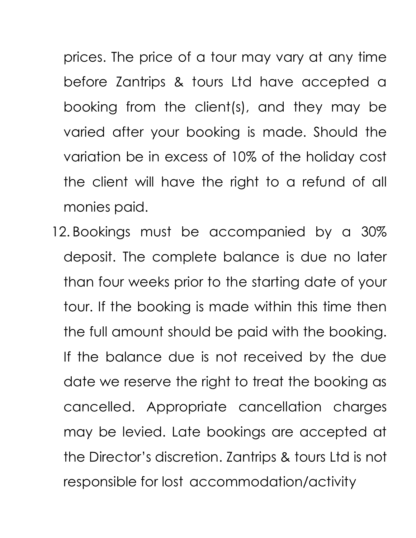prices. The price of a tour may vary at any time before Zantrips & tours Ltd have accepted a booking from the client(s), and they may be varied after your booking is made. Should the variation be in excess of 10% of the holiday cost the client will have the right to a refund of all monies paid.

12. Bookings must be accompanied by a 30% deposit. The complete balance is due no later than four weeks prior to the starting date of your tour. If the booking is made within this time then the full amount should be paid with the booking. If the balance due is not received by the due date we reserve the right to treat the booking as cancelled. Appropriate cancellation charges may be levied. Late bookings are accepted at the Director's discretion. Zantrips & tours Ltd is not responsible for lost accommodation/activity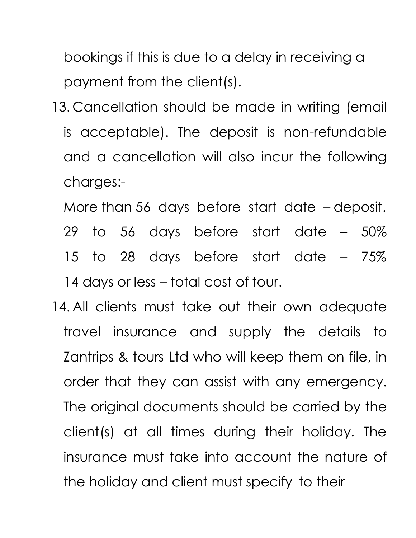bookings if this is due to a delay in receiving a payment from the client(s).

- 13. Cancellation should be made in writing (email is acceptable). The deposit is non-refundable and a cancellation will also incur the following charges:-
	- More than 56 days before start date deposit. 29 to 56 days before start date – 50% 15 to 28 days before start date – 75% 14 days or less – total cost of tour.
- 14. All clients must take out their own adequate travel insurance and supply the details to Zantrips & tours Ltd who will keep them on file, in order that they can assist with any emergency. The original documents should be carried by the client(s) at all times during their holiday. The insurance must take into account the nature of the holiday and client must specify to their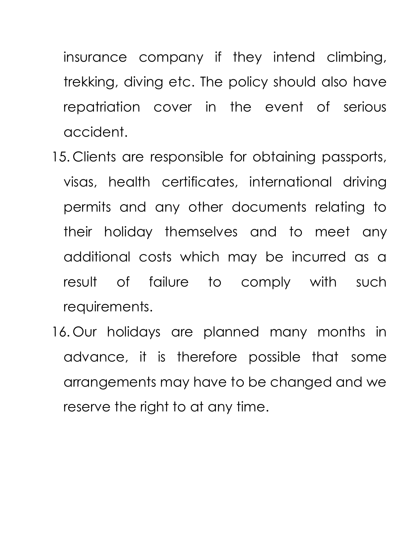insurance company if they intend climbing, trekking, diving etc. The policy should also have repatriation cover in the event of serious accident.

- 15. Clients are responsible for obtaining passports, visas, health certificates, international driving permits and any other documents relating to their holiday themselves and to meet any additional costs which may be incurred as a result of failure to comply with such requirements.
- 16. Our holidays are planned many months in advance, it is therefore possible that some arrangements may have to be changed and we reserve the right to at any time.